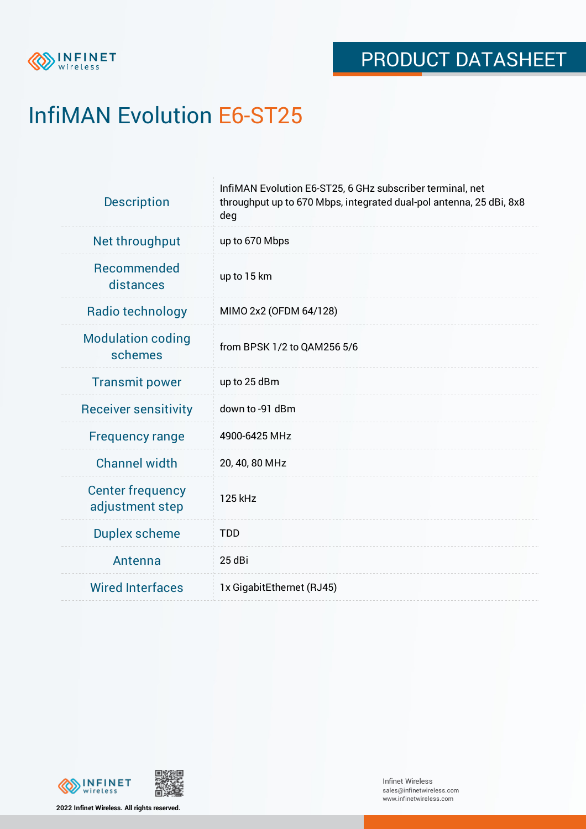

# InfiMAN Evolution E6-ST25

| <b>Description</b>                         | InfiMAN Evolution E6-ST25, 6 GHz subscriber terminal, net<br>throughput up to 670 Mbps, integrated dual-pol antenna, 25 dBi, 8x8<br>deg |  |  |  |
|--------------------------------------------|-----------------------------------------------------------------------------------------------------------------------------------------|--|--|--|
| Net throughput                             | up to 670 Mbps                                                                                                                          |  |  |  |
| Recommended<br>distances                   | up to 15 km                                                                                                                             |  |  |  |
| Radio technology                           | MIMO 2x2 (OFDM 64/128)                                                                                                                  |  |  |  |
| <b>Modulation coding</b><br>schemes        | from BPSK 1/2 to QAM256 5/6                                                                                                             |  |  |  |
| <b>Transmit power</b>                      | up to 25 dBm                                                                                                                            |  |  |  |
| <b>Receiver sensitivity</b>                | down to -91 dBm                                                                                                                         |  |  |  |
| <b>Frequency range</b>                     | 4900-6425 MHz                                                                                                                           |  |  |  |
| <b>Channel width</b>                       | 20, 40, 80 MHz                                                                                                                          |  |  |  |
| <b>Center frequency</b><br>adjustment step | 125 kHz                                                                                                                                 |  |  |  |
| <b>Duplex scheme</b>                       | <b>TDD</b>                                                                                                                              |  |  |  |
| Antenna                                    | 25 dBi                                                                                                                                  |  |  |  |
| <b>Wired Interfaces</b>                    | 1x GigabitEthernet (RJ45)                                                                                                               |  |  |  |



**2022 Infinet Wireless. All rights reserved.**



Infinet Wireless sales@infinetwireless.com www.infinetwireless.com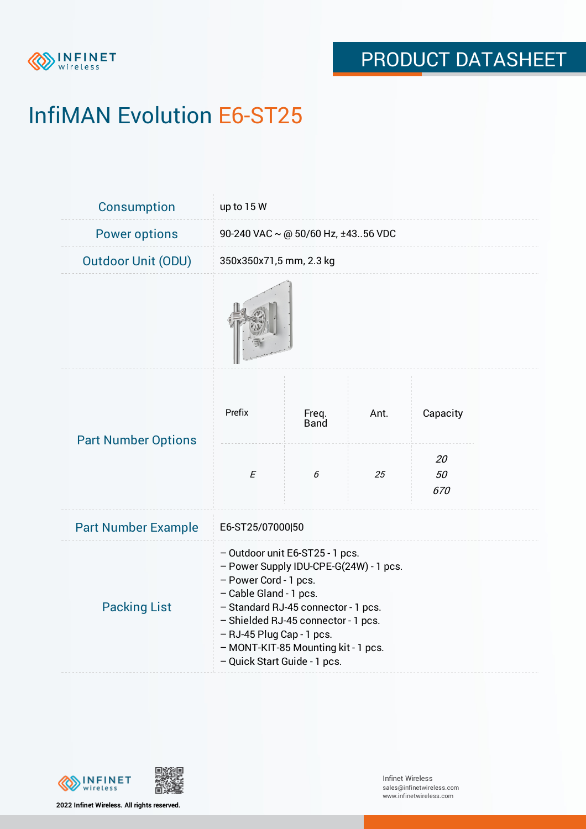

# InfiMAN Evolution E6-ST25

| Consumption                | up to 15 W                                                                                                                                                                                                                                                                                                     |                      |      |                 |  |  |
|----------------------------|----------------------------------------------------------------------------------------------------------------------------------------------------------------------------------------------------------------------------------------------------------------------------------------------------------------|----------------------|------|-----------------|--|--|
| <b>Power options</b>       | 90-240 VAC ~ @ 50/60 Hz, ±4356 VDC                                                                                                                                                                                                                                                                             |                      |      |                 |  |  |
| <b>Outdoor Unit (ODU)</b>  | 350x350x71,5 mm, 2.3 kg                                                                                                                                                                                                                                                                                        |                      |      |                 |  |  |
|                            |                                                                                                                                                                                                                                                                                                                |                      |      |                 |  |  |
| <b>Part Number Options</b> | Prefix                                                                                                                                                                                                                                                                                                         | Freq.<br><b>Band</b> | Ant. | Capacity        |  |  |
|                            | $\cal E$                                                                                                                                                                                                                                                                                                       | 6                    | 25   | 20<br>50<br>670 |  |  |
| <b>Part Number Example</b> | E6-ST25/07000 50                                                                                                                                                                                                                                                                                               |                      |      |                 |  |  |
| <b>Packing List</b>        | - Outdoor unit E6-ST25 - 1 pcs.<br>- Power Supply IDU-CPE-G(24W) - 1 pcs.<br>- Power Cord - 1 pcs.<br>- Cable Gland - 1 pcs.<br>- Standard RJ-45 connector - 1 pcs.<br>- Shielded RJ-45 connector - 1 pcs.<br>- RJ-45 Plug Cap - 1 pcs.<br>- MONT-KIT-85 Mounting kit - 1 pcs.<br>- Quick Start Guide - 1 pcs. |                      |      |                 |  |  |



**2022 Infinet Wireless. All rights reserved.**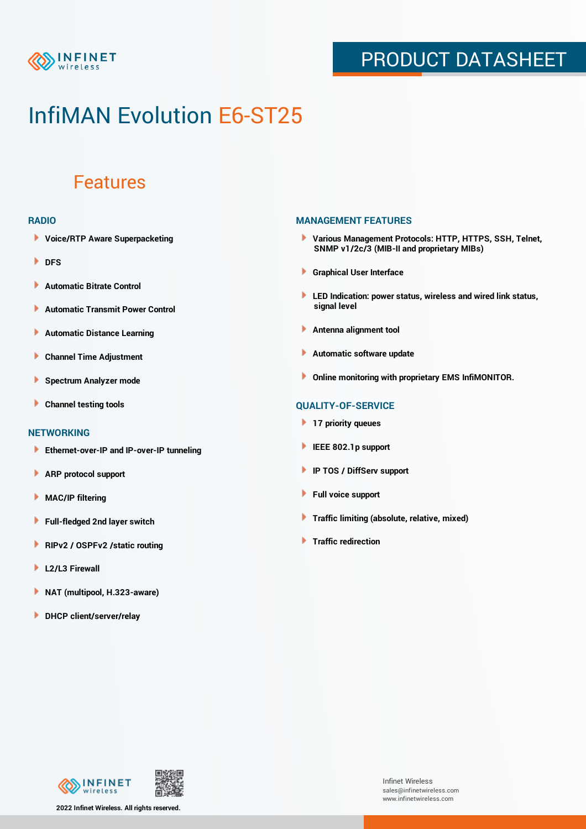

### PRODUCT DATASHEET

## InfiMAN Evolution E6-ST25

### Features

#### **RADIO**

- **Voice/RTP Aware Superpacketing**
- **DFS**
- **Automatic Bitrate Control** Þ
- Þ **Automatic Transmit Power Control**
- Þ **Automatic Distance Learning**
- Þ **Channel Time Adjustment**
- Þ **Spectrum Analyzer mode**
- Þ **Channel testing tools**

### **NETWORKING**

- **Ethernet-over-IP and IP-over-IP tunneling**
- Þ **ARP protocol support**
- **MAC/IP filtering** Þ
- **Full-fledged 2nd layer switch**
- Þ **RIPv2 / OSPFv2 /static routing**
- ٠ **L2/L3 Firewall**
- × **NAT (multipool, H.323-aware)**
- **DHCP client/server/relay**

#### **MANAGEMENT FEATURES**

- **Various Management Protocols: HTTP, HTTPS, SSH, Telnet, SNMP v1/2c/3 (MIB-II and proprietary MIBs)**
- **Graphical User Interface**
- **LED Indication: power status, wireless and wired link status, signal level**
- **Antenna alignment tool**
- ٠ **Automatic software update**
- **Online monitoring with proprietary EMS InfiMONITOR.**

### **QUALITY-OF-SERVICE**

- **17 priority queues**
- **IEEE 802.1p support**
- **IP TOS / DiffServ support**
- ٠ **Full voice support**
- **Traffic limiting (absolute, relative, mixed)** ٠
- **Traffic redirection**



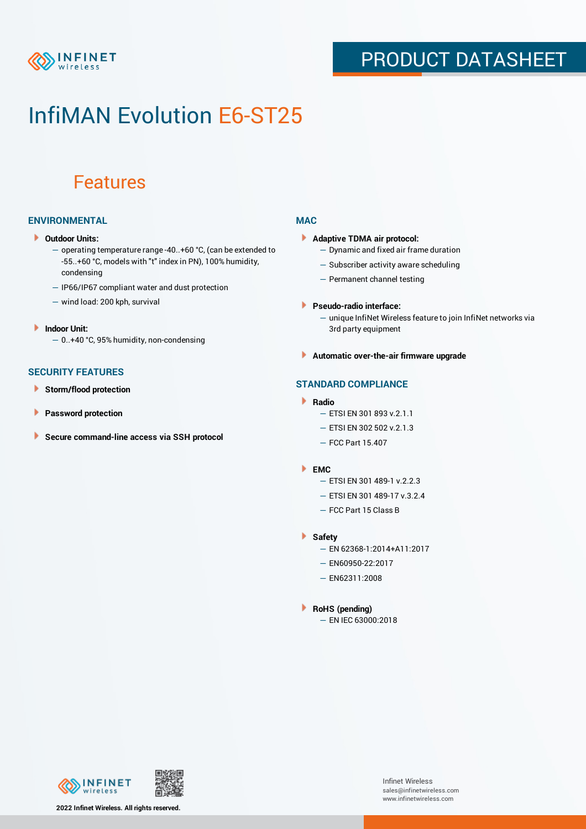

### PRODUCT DATASHEET

## InfiMAN Evolution E6-ST25

### Features

### **ENVIRONMENTAL**

- **Outdoor Units:**
	- operating temperature range -40..+60 °C, (can be extended to -55..+60 °С, models with "t" index in PN), 100% humidity, condensing
	- IP66/IP67 compliant water and dust protection
	- wind load: 200 kph, survival
- **Indoor Unit:**
	- 0..+40 °C, 95% humidity, non-condensing

### **SECURITY FEATURES**

- Þ **Storm/flood protection**
- ۱ **Password protection**
- **Secure command-line access via SSH protocol** Þ

#### **MAC**

- **Adaptive TDMA air protocol:**
	- Dynamic and fixed air frame duration
	- Subscriber activity aware scheduling
	- Permanent channel testing
- **Pseudo-radio interface:**
	- unique InfiNet Wireless feature to join InfiNet networks via 3rd party equipment
- **Automatic over-the-air firmware upgrade**

### **STANDARD COMPLIANCE**

- **Radio**
	- ETSI EN 301 893 v.2.1.1
	- ETSI EN 302 502 v.2.1.3
	- FCC Part 15.407

#### **EMC**

- ETSI EN 301 489-1 v.2.2.3
	- ETSI EN 301 489-17 v.3.2.4
	- FCC Part 15 Class B
- **Safety**
	- EN 62368-1:2014+A11:2017
	- EN60950-22:2017
	- EN62311:2008
- **RoHS (pending)**
	- EN IEC 63000:2018